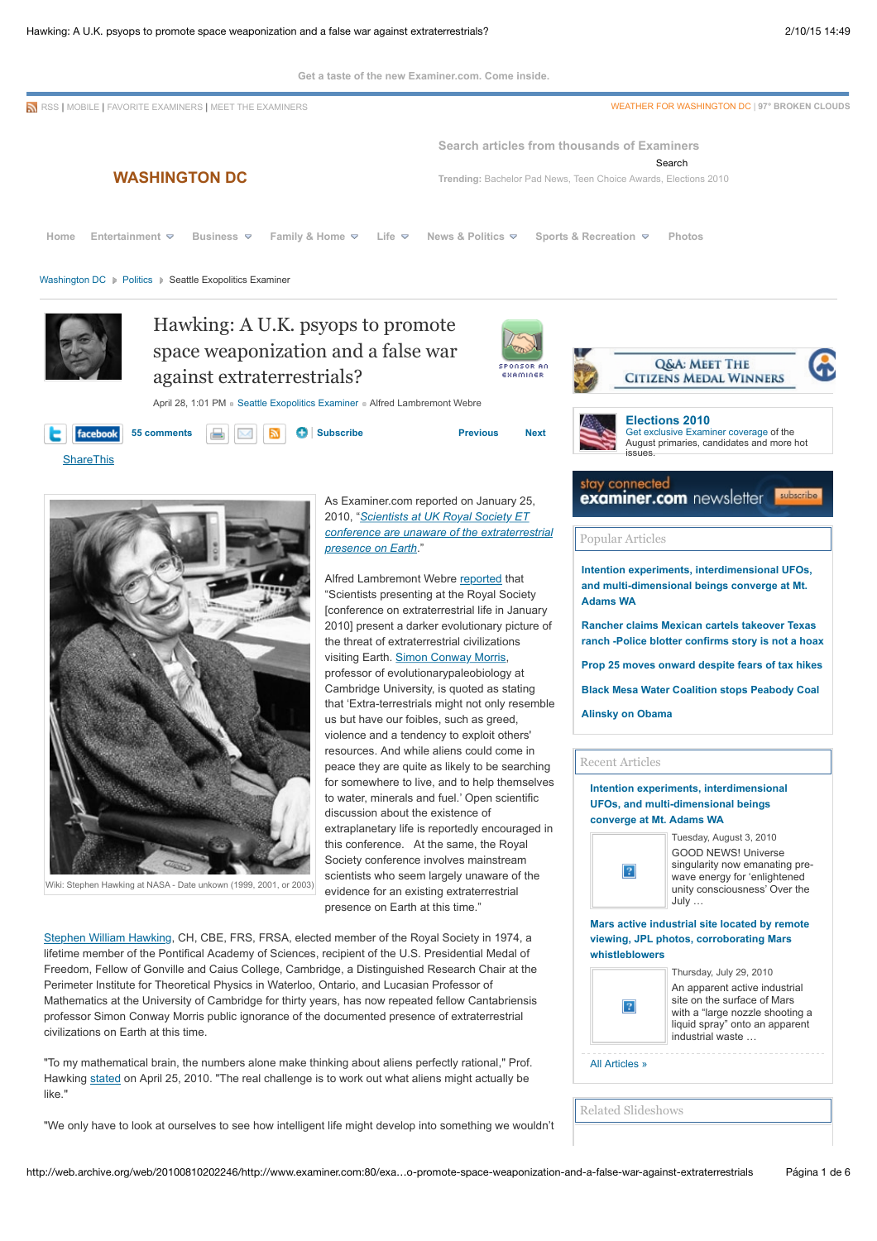

"We only have to look at ourselves to see how intelligent life might develop into something we wouldn't

http://web.archive.org/web/20100810202246/http://www.examiner.com:80/exa…o-promote-space-weaponization-and-a-false-war-against-extraterrestrials Página 1 de 6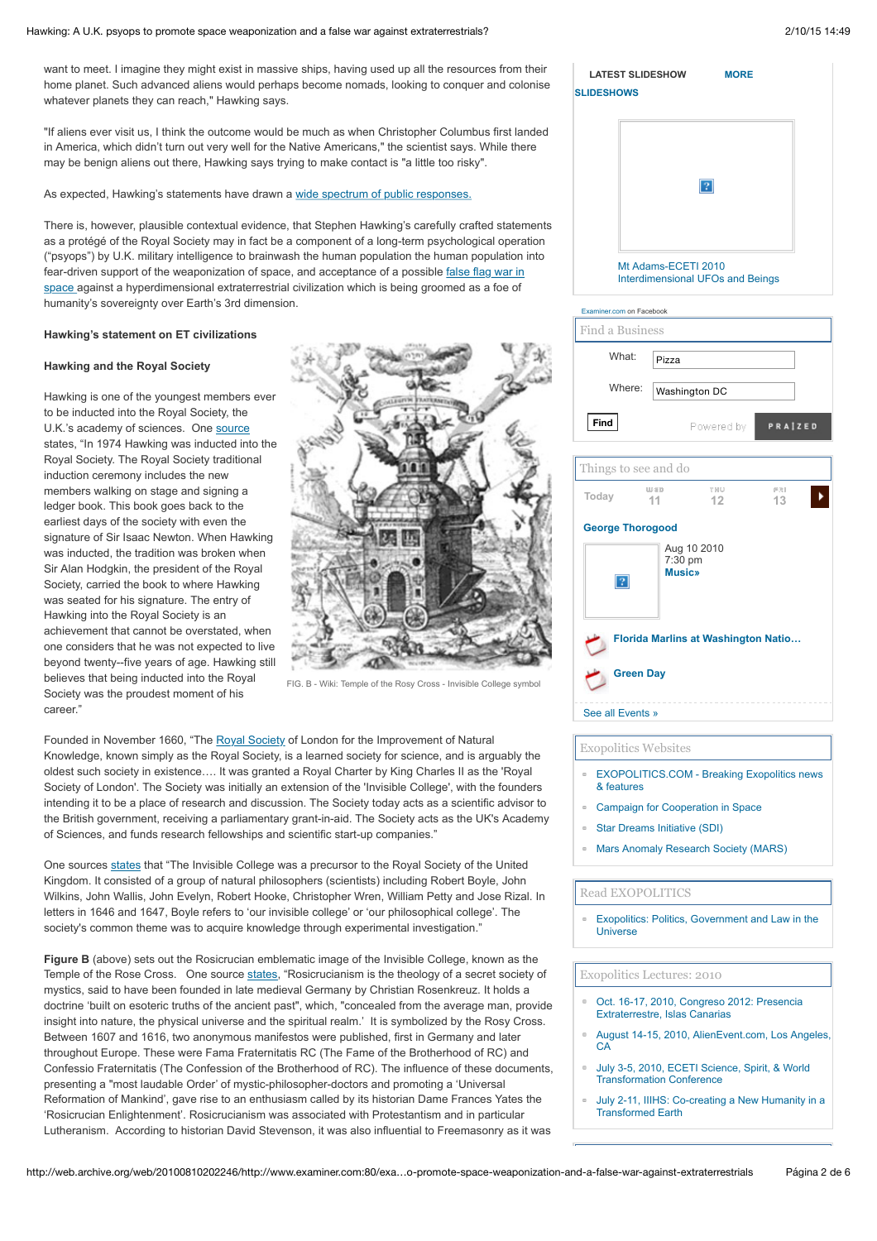#### Hawking: A U.K. psyops to promote space weaponization and a false war against extraterrestrials? 2000 2000 15 14:49

want to meet. I imagine they might exist in massive ships, having used up all the resources from their home planet. Such advanced aliens would perhaps become nomads, looking to conquer and colonise whatever planets they can reach," Hawking says.

"If aliens ever visit us, I think the outcome would be much as when Christopher Columbus first landed in America, which didn't turn out very well for the Native Americans," the scientist says. While there may be benign aliens out there, Hawking says trying to make contact is "a little too risky".

As expected, Hawking's statements have drawn a [wide spectrum of public responses.](http://web.archive.org/web/20100810202246/http://news.google.com/news/story?ncl=http://www.aolnews.com/nation/article/hawkings-alien-warnings-divide-ufologists/19454975&hl=en)

There is, however, plausible contextual evidence, that Stephen Hawking's carefully crafted statements as a protégé of the Royal Society may in fact be a component of a long-term psychological operation ("psyops") by U.K. military intelligence to brainwash the human population the human population into [fear-driven support of the weaponization of space, and acceptance of a possible false flag war in](http://web.archive.org/web/20100810202246/http://www.examiner.com/x-2912-Seattle-Exopolitics-Examiner~y2010m4d23-Will-extraterrestrial-disclosure-or-contact-happen-in-2012) space against a hyperdimensional extraterrestrial civilization which is being groomed as a foe of humanity's sovereignty over Earth's 3rd dimension.

# **Hawking's statement on ET civilizations**

# **Hawking and the Royal Society**

Hawking is one of the youngest members ever to be inducted into the Royal Society, the U.K.'s academy of sciences. One [source](http://web.archive.org/web/20100810202246/http://www.lucasianchair.org/20/hawking.html) states, "In 1974 Hawking was inducted into the Royal Society. The Royal Society traditional induction ceremony includes the new members walking on stage and signing a ledger book. This book goes back to the earliest days of the society with even the signature of Sir Isaac Newton. When Hawking was inducted, the tradition was broken when Sir Alan Hodgkin, the president of the Royal Society, carried the book to where Hawking was seated for his signature. The entry of Hawking into the Royal Society is an achievement that cannot be overstated, when one considers that he was not expected to live beyond twenty--five years of age. Hawking still believes that being inducted into the Royal Society was the proudest moment of his career."



FIG. B - Wiki: Temple of the Rosy Cross - Invisible College symbol

Founded in November 1660, "The [Royal Society](http://web.archive.org/web/20100810202246/http://en.wikipedia.org/wiki/Royal_Society) of London for the Improvement of Natural Knowledge, known simply as the Royal Society, is a learned society for science, and is arguably the oldest such society in existence…. It was granted a Royal Charter by King Charles II as the 'Royal Society of London'. The Society was initially an extension of the 'Invisible College', with the founders intending it to be a place of research and discussion. The Society today acts as a scientific advisor to the British government, receiving a parliamentary grant-in-aid. The Society acts as the UK's Academy of Sciences, and funds research fellowships and scientific start-up companies."

One sources [states](http://web.archive.org/web/20100810202246/http://en.wikipedia.org/wiki/Invisible_College) that "The Invisible College was a precursor to the Royal Society of the United Kingdom. It consisted of a group of natural philosophers (scientists) including Robert Boyle, John Wilkins, John Wallis, John Evelyn, Robert Hooke, Christopher Wren, William Petty and Jose Rizal. In letters in 1646 and 1647, Boyle refers to 'our invisible college' or 'our philosophical college'. The society's common theme was to acquire knowledge through experimental investigation."

**Figure B** (above) sets out the Rosicrucian emblematic image of the Invisible College, known as the Temple of the Rose Cross. One source [states,](http://web.archive.org/web/20100810202246/http://en.wikipedia.org/wiki/Rosicrucian) "Rosicrucianism is the theology of a secret society of mystics, said to have been founded in late medieval Germany by Christian Rosenkreuz. It holds a doctrine 'built on esoteric truths of the ancient past", which, "concealed from the average man, provide insight into nature, the physical universe and the spiritual realm.' It is symbolized by the Rosy Cross. Between 1607 and 1616, two anonymous manifestos were published, first in Germany and later throughout Europe. These were Fama Fraternitatis RC (The Fame of the Brotherhood of RC) and Confessio Fraternitatis (The Confession of the Brotherhood of RC). The influence of these documents, presenting a "most laudable Order' of mystic-philosopher-doctors and promoting a 'Universal Reformation of Mankind', gave rise to an enthusiasm called by its historian Dame Frances Yates the 'Rosicrucian Enlightenment'. Rosicrucianism was associated with Protestantism and in particular Lutheranism. According to historian David Stevenson, it was also influential to Freemasonry as it was

| <b>SLIDESHOWS</b> | <b>LATEST SLIDESHOW</b>                                        | <b>MORE</b> |  |
|-------------------|----------------------------------------------------------------|-------------|--|
|                   |                                                                |             |  |
|                   |                                                                |             |  |
|                   |                                                                |             |  |
|                   | Mt Adams-ECETI 2010<br><b>Interdimensional UFOs and Beings</b> |             |  |

| Examiner.com on Facebook                   |                 |                                         |           |  |  |  |
|--------------------------------------------|-----------------|-----------------------------------------|-----------|--|--|--|
| Find a Business                            |                 |                                         |           |  |  |  |
| What <sup>-</sup>                          | Pizza           |                                         |           |  |  |  |
| Where:                                     |                 | Washington DC                           |           |  |  |  |
| Find                                       |                 | Powered by                              | PRAIZED   |  |  |  |
| Things to see and do                       |                 |                                         |           |  |  |  |
| Today                                      | $W \in D$<br>11 | THU<br>12                               | FRI<br>13 |  |  |  |
| <b>George Thorogood</b>                    |                 |                                         |           |  |  |  |
| 2                                          |                 | Aug 10 2010<br>7:30 pm<br><b>Music»</b> |           |  |  |  |
| <b>Florida Marlins at Washington Natio</b> |                 |                                         |           |  |  |  |
| <b>Green Day</b>                           |                 |                                         |           |  |  |  |
| See all Events »                           |                 |                                         |           |  |  |  |

#### Exopolitics Websites

- [EXOPOLITICS.COM Breaking Exopolitics news](http://web.archive.org/web/20100810202246/http://www.exopolitics.com/) & features
- [Campaign for Cooperation in Space](http://web.archive.org/web/20100810202246/http://www.peaceinspace.org/)
- [Star Dreams Initiative \(SDI\)](http://web.archive.org/web/20100810202246/http://www.peaceinspace.net/)
- [Mars Anomaly Research Society \(MARS\)](http://web.archive.org/web/20100810202246/http://exopolitics.blogs.com/exopolitics/2008/12/life-discovered-on-mars.html)

#### Read EXOPOLITICS

[Exopolitics: Politics, Government and Law in the](http://web.archive.org/web/20100810202246/http://www.amazon.com/Exopolitics-Politics-Government-Law-Universe/dp/0973766301/ref=sr_1_1?ie=UTF8&s=books&qid=1231615435&sr=1-1) Universe

#### Exopolitics Lectures: 2010

- [Oct. 16-17, 2010, Congreso 2012: Presencia](http://web.archive.org/web/20100810202246/http://congresocienciaymistica.blogspot.com/2009/04/congreso-internacional-el-poder-de-la.html) Extraterrestre, Islas Canarias
- [August 14-15, 2010, AlienEvent.com, Los Angeles,](http://web.archive.org/web/20100810202246/http://www.alienevent.com/)  $CA$
- [July 3-5, 2010, ECETI Science, Spirit, & World](http://web.archive.org/web/20100810202246/http://www.eceti.org/) Transformation Conference
- [July 2-11, IIIHS: Co-creating a New Humanity in a](http://web.archive.org/web/20100810202246/http://www.iiihs.org/) Transformed Earth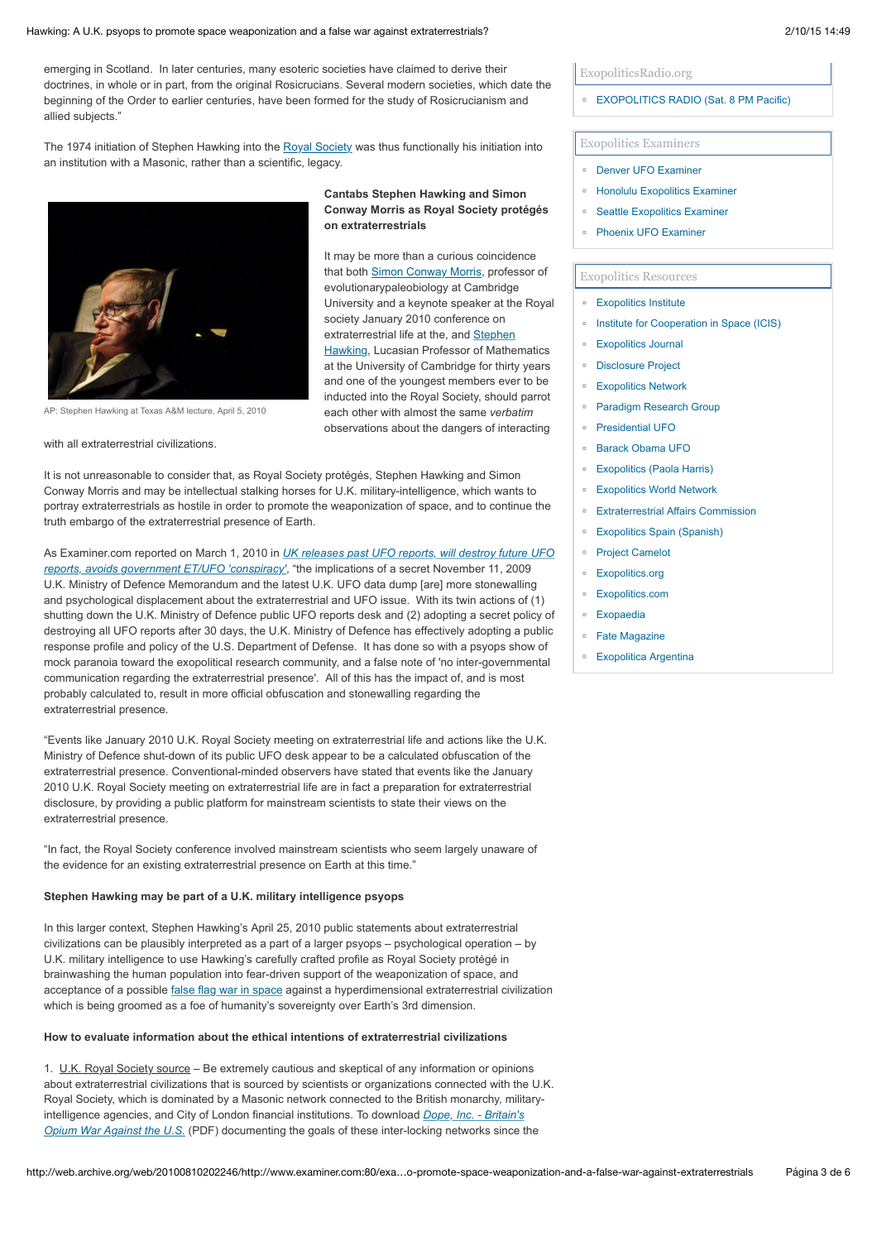#### Hawking: A U.K. psyops to promote space weaponization and a false war against extraterrestrials? 2000 2000 15 14:49

emerging in Scotland. In later centuries, many esoteric societies have claimed to derive their doctrines, in whole or in part, from the original Rosicrucians. Several modern societies, which date the beginning of the Order to earlier centuries, have been formed for the study of Rosicrucianism and allied subjects."

The 1974 initiation of Stephen Hawking into the [Royal Society](http://web.archive.org/web/20100810202246/http://en.wikipedia.org/wiki/Royal_Society) was thus functionally his initiation into an institution with a Masonic, rather than a scientific, legacy.



AP: Stephen Hawking at Texas A&M lecture, April 5, 2010

with all extraterrestrial civilizations.

**Cantabs Stephen Hawking and Simon Conway Morris as Royal Society protégés on extraterrestrials**

It may be more than a curious coincidence that both [Simon Conway Morris,](http://web.archive.org/web/20100810202246/http://www.examiner.com/x-2912-Seattle-Exopolitics-Examiner~y2010m1d25-Scientists-at-UK-Royal-Society-give-ET-mixed-review-extraterrestrials-peaceful-or-exploitative) professor of evolutionarypaleobiology at Cambridge University and a keynote speaker at the Royal society January 2010 conference on extraterrestrial life at the, and Stephen **[Hawking, Lucasian Professor of Mathe](http://web.archive.org/web/20100810202246/http://news.xinhuanet.com/english2010/sci/2010-04/26/c_13267950.htm)matics** at the University of Cambridge for thirty years and one of the youngest members ever to be inducted into the Royal Society, should parrot each other with almost the same *verbatim* observations about the dangers of interacting

It is not unreasonable to consider that, as Royal Society protégés, Stephen Hawking and Simon Conway Morris and may be intellectual stalking horses for U.K. military-intelligence, which wants to portray extraterrestrials as hostile in order to promote the weaponization of space, and to continue the truth embargo of the extraterrestrial presence of Earth.

As Examiner.com reported on March 1, 2010 in *[UK releases past UFO reports, will destroy future UFO](http://web.archive.org/web/20100810202246/http://www.examiner.com/x-2912-Seattle-Exopolitics-Examiner~y2010m3d1-UK-releases-past-UFO-reports-will-destroy-future-UFO-reports-avoids-government-ETUFO-conspiracy) reports, avoids government ET/UFO 'conspiracy'*, "the implications of a secret November 11, 2009 U.K. Ministry of Defence Memorandum and the latest U.K. UFO data dump [are] more stonewalling and psychological displacement about the extraterrestrial and UFO issue. With its twin actions of (1) shutting down the U.K. Ministry of Defence public UFO reports desk and (2) adopting a secret policy of destroying all UFO reports after 30 days, the U.K. Ministry of Defence has effectively adopting a public response profile and policy of the U.S. Department of Defense. It has done so with a psyops show of mock paranoia toward the exopolitical research community, and a false note of 'no inter-governmental communication regarding the extraterrestrial presence'. All of this has the impact of, and is most probably calculated to, result in more official obfuscation and stonewalling regarding the extraterrestrial presence.

"Events like January 2010 U.K. Royal Society meeting on extraterrestrial life and actions like the U.K. Ministry of Defence shut-down of its public UFO desk appear to be a calculated obfuscation of the extraterrestrial presence. Conventional-minded observers have stated that events like the January 2010 U.K. Royal Society meeting on extraterrestrial life are in fact a preparation for extraterrestrial disclosure, by providing a public platform for mainstream scientists to state their views on the extraterrestrial presence.

"In fact, the Royal Society conference involved mainstream scientists who seem largely unaware of the evidence for an existing extraterrestrial presence on Earth at this time."

#### **Stephen Hawking may be part of a U.K. military intelligence psyops**

In this larger context, Stephen Hawking's April 25, 2010 public statements about extraterrestrial civilizations can be plausibly interpreted as a part of a larger psyops – psychological operation – by U.K. military intelligence to use Hawking's carefully crafted profile as Royal Society protégé in brainwashing the human population into fear-driven support of the weaponization of space, and acceptance of a possible [false flag war in space](http://web.archive.org/web/20100810202246/http://www.examiner.com/x-2912-Seattle-Exopolitics-Examiner~y2010m4d23-Will-extraterrestrial-disclosure-or-contact-happen-in-2012) against a hyperdimensional extraterrestrial civilization which is being groomed as a foe of humanity's sovereignty over Earth's 3rd dimension.

#### **How to evaluate information about the ethical intentions of extraterrestrial civilizations**

1. U.K. Royal Society source - Be extremely cautious and skeptical of any information or opinions about extraterrestrial civilizations that is sourced by scientists or organizations connected with the U.K. Royal Society, which is dominated by a Masonic network connected to the British monarchy, military[intelligence agencies, and City of London financial institutions. To download](http://web.archive.org/web/20100810202246/http://exopolitics.blogs.com/exopolitics/2010/04/dope-inc-britains-opium-war-against-the-us-pdf.html) *Dope, Inc. - Britain's Opium War Against the U.S.* (PDF) documenting the goals of these inter-locking networks since the

#### ExopoliticsRadio.org

## **[EXOPOLITICS RADIO \(Sat. 8 PM Pacific\)](http://web.archive.org/web/20100810202246/http://www.exopoliticsradio.org/)**

# Exopolitics Examiners

- [Denver UFO Examiner](http://web.archive.org/web/20100810202246/http://www.examiner.com/x-2024-Denver-UFO-Examiner)
- [Honolulu Exopolitics Examiner](http://web.archive.org/web/20100810202246/http://www.examiner.com/x-2383-Honolulu-Exopolitics-Examiner)
- **[Seattle Exopolitics Examiner](http://web.archive.org/web/20100810202246/http://www.examiner.com/x-2912-Seattle-Exopolitics-Examiner)**
- [Phoenix UFO Examiner](http://web.archive.org/web/20100810202246/http://www.examiner.com/x-3766-Phoenix-UFO-Examiner)

### Exopolitics Resources

- **[Exopolitics Institute](http://web.archive.org/web/20100810202246/http://exopoliticsinstitute.org/)**
- **[Institute for Cooperation in Space \(ICIS\)](http://web.archive.org/web/20100810202246/http://www.peaceinspace.com/)**
- **[Exopolitics Journal](http://web.archive.org/web/20100810202246/http://exopoliticsjournal.com/)**
- [Disclosure Project](http://web.archive.org/web/20100810202246/http://www.disclosureproject.org/)
- **[Exopolitics Network](http://web.archive.org/web/20100810202246/http://exopoliticsinstitute.org/network.htm)**
- [Paradigm Research Group](http://web.archive.org/web/20100810202246/http://www.paradigmresearchgroup.org/)
- [Presidential UFO](http://web.archive.org/web/20100810202246/http://www.presidentialufo.com/)
- [Barack Obama UFO](http://web.archive.org/web/20100810202246/http://www.barackobamaufo.com/)
- [Exopolitics \(Paola Harris\)](http://web.archive.org/web/20100810202246/http://www.paolaharris.com/)
- [Exopolitics World Network](http://web.archive.org/web/20100810202246/http://www.exopoliticsworld.net/)
- **[Extraterrestrial Affairs Commission](http://web.archive.org/web/20100810202246/http://www.extracampaign.org/)**
- **[Exopolitics Spain \(Spanish\)](http://web.archive.org/web/20100810202246/http://www.exopoliticsspain.es/)**
- [Project Camelot](http://web.archive.org/web/20100810202246/http://www.projectcamelot.net/)
- **[Exopolitics.org](http://web.archive.org/web/20100810202246/http://www.exopolitics.org/)**
- [Exopolitics.com](http://web.archive.org/web/20100810202246/http://www.exopolitics.com/)
- [Exopaedia](http://web.archive.org/web/20100810202246/http://www.exopaedia.org/)
- [Fate Magazine](http://web.archive.org/web/20100810202246/http://fatemag.com/)
- **[Exopolitica Argentina](http://web.archive.org/web/20100810202246/http://www.exopoliticaargentina.webs.com/)**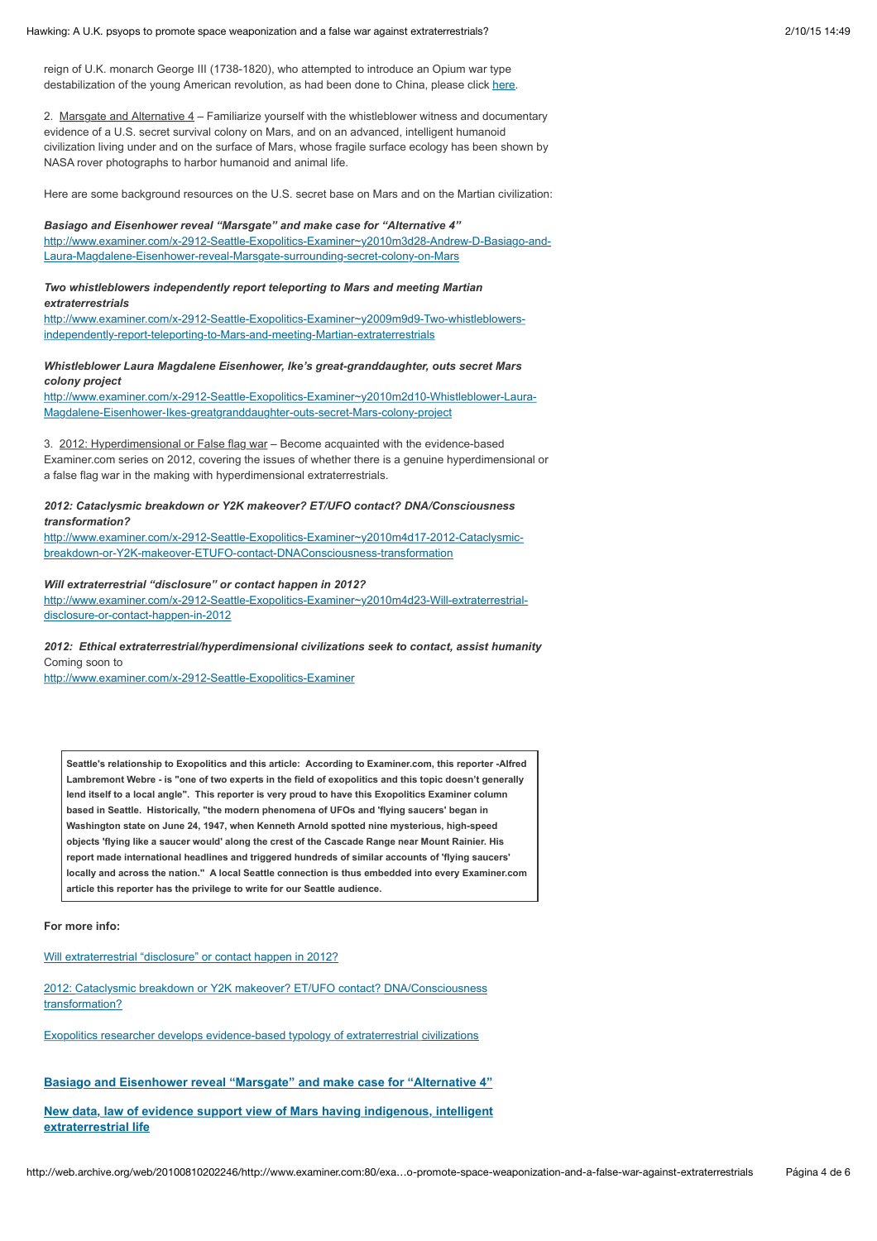#### Hawking: A U.K. psyops to promote space weaponization and a false war against extraterrestrials? 2000 2000 15 14:49

reign of U.K. monarch George III (1738-1820), who attempted to introduce an Opium war type destabilization of the young American revolution, as had been done to China, please click [here.](http://web.archive.org/web/20100810202246/http://exopolitics.blogs.com/exopolitics/2010/04/dope-inc-britains-opium-war-against-the-us-pdf.html)

2. Marsgate and Alternative 4 – Familiarize yourself with the whistleblower witness and documentary evidence of a U.S. secret survival colony on Mars, and on an advanced, intelligent humanoid civilization living under and on the surface of Mars, whose fragile surface ecology has been shown by NASA rover photographs to harbor humanoid and animal life.

Here are some background resources on the U.S. secret base on Mars and on the Martian civilization:

### *Basiago and Eisenhower reveal "Marsgate" and make case for "Alternative 4"*

[http://www.examiner.com/x-2912-Seattle-Exopolitics-Examiner~y2010m3d28-Andrew-D-Basiago-and-](http://web.archive.org/web/20100810202246/http://www.examiner.com/x-2912-Seattle-Exopolitics-Examiner~y2010m3d28-Andrew-D-Basiago-and-Laura-Magdalene-Eisenhower-reveal-Marsgate-surrounding-secret-colony-on-Mars)Laura-Magdalene-Eisenhower-reveal-Marsgate-surrounding-secret-colony-on-Mars

# *Two whistleblowers independently report teleporting to Mars and meeting Martian*

*extraterrestrials*

[http://www.examiner.com/x-2912-Seattle-Exopolitics-Examiner~y2009m9d9-Two-whistleblowers](http://web.archive.org/web/20100810202246/http://www.examiner.com/x-2912-Seattle-Exopolitics-Examiner~y2009m9d9-Two-whistleblowers-independently-report-teleporting-to-Mars-and-meeting-Martian-extraterrestrials)independently-report-teleporting-to-Mars-and-meeting-Martian-extraterrestrials

### *Whistleblower Laura Magdalene Eisenhower, Ike's great-granddaughter, outs secret Mars colony project*

[http://www.examiner.com/x-2912-Seattle-Exopolitics-Examiner~y2010m2d10-Whistleblower-Laura-](http://web.archive.org/web/20100810202246/http://www.examiner.com/x-2912-Seattle-Exopolitics-Examiner~y2010m2d10-Whistleblower-Laura-Magdalene-Eisenhower-Ikes-greatgranddaughter-outs-secret-Mars-colony-project)Magdalene-Eisenhower-Ikes-greatgranddaughter-outs-secret-Mars-colony-project

3. 2012: Hyperdimensional or False flag war – Become acquainted with the evidence-based Examiner.com series on 2012, covering the issues of whether there is a genuine hyperdimensional or a false flag war in the making with hyperdimensional extraterrestrials.

## *2012: Cataclysmic breakdown or Y2K makeover? ET/UFO contact? DNA/Consciousness transformation?*

[http://www.examiner.com/x-2912-Seattle-Exopolitics-Examiner~y2010m4d17-2012-Cataclysmic](http://web.archive.org/web/20100810202246/http://www.examiner.com/x-2912-Seattle-Exopolitics-Examiner~y2010m4d17-2012-Cataclysmic-breakdown-or-Y2K-makeover-ETUFO-contact-DNAConsciousness-transformation)breakdown-or-Y2K-makeover-ETUFO-contact-DNAConsciousness-transformation

## *Will extraterrestrial "disclosure" or contact happen in 2012?*

[http://www.examiner.com/x-2912-Seattle-Exopolitics-Examiner~y2010m4d23-Will-extraterrestrial](http://web.archive.org/web/20100810202246/http://www.examiner.com/x-2912-Seattle-Exopolitics-Examiner~y2010m4d23-Will-extraterrestrial-disclosure-or-contact-happen-in-2012)disclosure-or-contact-happen-in-2012

### *2012: Ethical extraterrestrial/hyperdimensional civilizations seek to contact, assist humanity* Coming soon to

[http://www.examiner.com/x-2912-Seattle-Exopolitics-Examiner](http://web.archive.org/web/20100810202246/http://www.examiner.com/x-2912-Seattle-Exopolitics-Examiner)

**Seattle's relationship to Exopolitics and this article: According to Examiner.com, this reporter -Alfred Lambremont Webre - is "one of two experts in the field of exopolitics and this topic doesn't generally lend itself to a local angle". This reporter is very proud to have this Exopolitics Examiner column based in Seattle. Historically, "the modern phenomena of UFOs and 'flying saucers' began in Washington state on June 24, 1947, when Kenneth Arnold spotted nine mysterious, high-speed objects 'flying like a saucer would' along the crest of the Cascade Range near Mount Rainier. His report made international headlines and triggered hundreds of similar accounts of 'flying saucers' locally and across the nation." A local Seattle connection is thus embedded into every Examiner.com article this reporter has the privilege to write for our Seattle audience.**

**For more info:** 

[Will extraterrestrial "disclosure" or contact happen in 2012?](http://web.archive.org/web/20100810202246/http://www.examiner.com/x-2912-Seattle-Exopolitics-Examiner%7Ey2010m4d23-Will-extraterrestrial-disclosure-or-contact-happen-in-2012)

[2012: Cataclysmic breakdown or Y2K makeover? ET/UFO contact? DNA/Consciousness](http://web.archive.org/web/20100810202246/http://www.examiner.com/x-2912-Seattle-Exopolitics-Examiner%7Ey2010m4d17-2012-Cataclysmic-breakdown-or-Y2K-makeover-ETUFO-contact-DNAConsciousness-transformation) transformation?

[Exopolitics researcher develops evidence-based typology of extraterrestrial civilizations](http://web.archive.org/web/20100810202246/http://www.examiner.com/x-2912-Seattle-Exopolitics-Examiner%7Ey2010m4d12-Exopolitics-researcher-develops-evidencebased-typology-of-extraterrestrial-civilizations)

**[Basiago and Eisenhower reveal "Marsgate" and make case for "Alternative 4"](http://web.archive.org/web/20100810202246/http://www.examiner.com/x-2912-Seattle-Exopolitics-Examiner%7Ey2010m3d28-Andrew-D-Basiago-and-Laura-Magdalene-Eisenhower-reveal-Marsgate-surrounding-secret-colony-on-Mars)**

**[New data, law of evidence support view of Mars having indigenous, intelligent](http://web.archive.org/web/20100810202246/http://www.examiner.com/x-2912-Seattle-Exopolitics-Examiner%7Ey2010m3d14-New-data-law-of-evidence-support-view-of-Mars-having-indigenous-intelligent-extraterrestrial-life) extraterrestrial life**